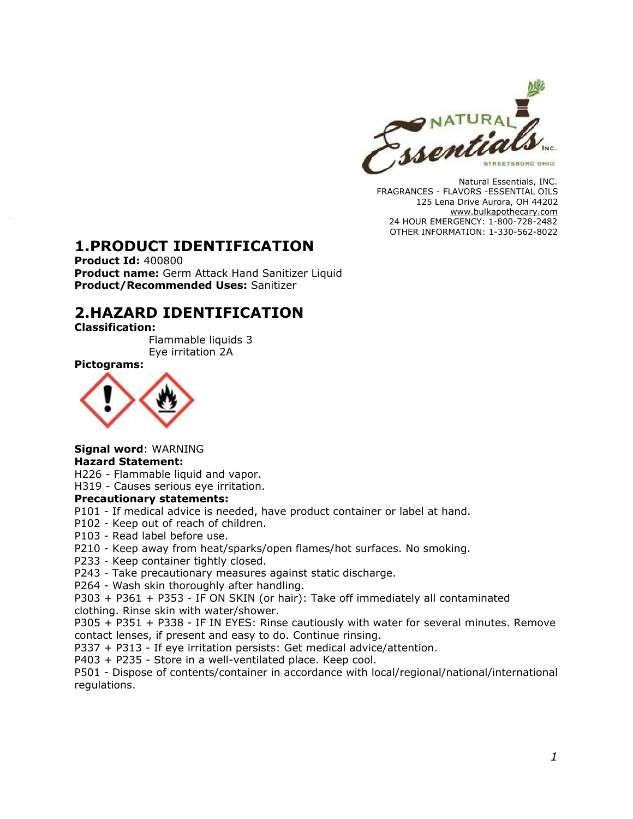

Natural Essentials, INC. FRAGRANCES - FLAVORS -ESSENTIAL OILS 125 Lena Drive Aurora, OH 44202 [www.bulkapothecary.com](http://www.bulkapothecary.com/) 24 HOUR EMERGENCY: 1-800-728-2482 OTHER INFORMATION: 1-330-562-8022

### **1.PRODUCT IDENTIFICATION**

**Product Id:** 400800 **Product name:** Germ Attack Hand Sanitizer Liquid **Product/Recommended Uses:** Sanitizer

### **2.HAZARD IDENTIFICATION**

**Classification:**

Flammable liquids 3 Eye irritation 2A

**Pictograms:**



**Signal word**: WARNING

#### **Hazard Statement:**

H226 - Flammable liquid and vapor.

H319 - Causes serious eye irritation.

#### **Precautionary statements:**

- P101 If medical advice is needed, have product container or label at hand.
- P102 Keep out of reach of children.
- P103 Read label before use.
- P210 Keep away from heat/sparks/open flames/hot surfaces. No smoking.
- P233 Keep container tightly closed.
- P243 Take precautionary measures against static discharge.

P264 - Wash skin thoroughly after handling.

P303 + P361 + P353 - IF ON SKIN (or hair): Take off immediately all contaminated clothing. Rinse skin with water/shower.

P305 + P351 + P338 - IF IN EYES: Rinse cautiously with water for several minutes. Remove contact lenses, if present and easy to do. Continue rinsing.

P337 + P313 - If eye irritation persists: Get medical advice/attention.

P403 + P235 - Store in a well-ventilated place. Keep cool.

P501 - Dispose of contents/container in accordance with local/regional/national/international regulations.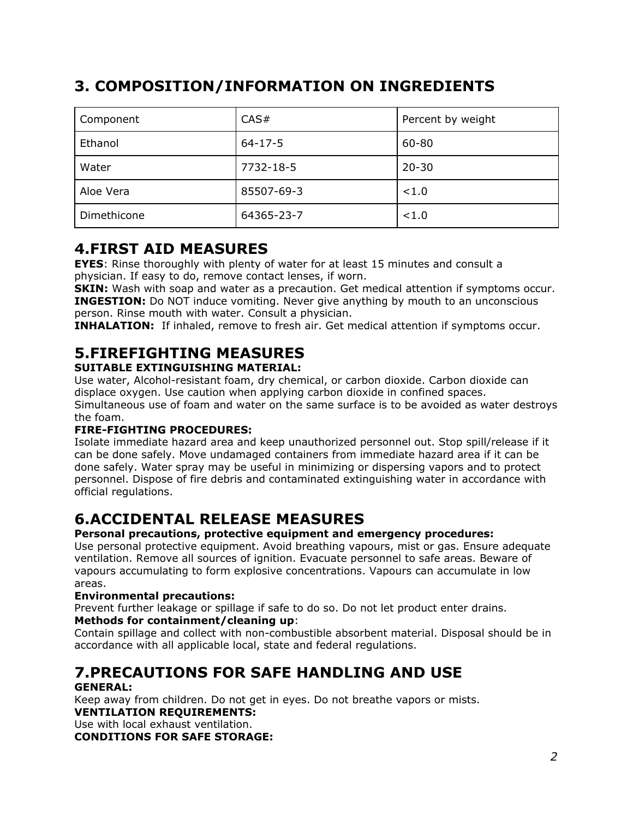# **3. COMPOSITION/INFORMATION ON INGREDIENTS**

| Component   | CAS#          | Percent by weight |  |
|-------------|---------------|-------------------|--|
| Ethanol     | $64 - 17 - 5$ | 60-80             |  |
| Water       | 7732-18-5     | $20 - 30$         |  |
| Aloe Vera   | 85507-69-3    | < 1.0             |  |
| Dimethicone | 64365-23-7    | < 1.0             |  |

### **4.FIRST AID MEASURES**

**EYES**: Rinse thoroughly with plenty of water for at least 15 minutes and consult a physician. If easy to do, remove contact lenses, if worn.

**SKIN:** Wash with soap and water as a precaution. Get medical attention if symptoms occur. **INGESTION:** Do NOT induce vomiting. Never give anything by mouth to an unconscious person. Rinse mouth with water. Consult a physician.

**INHALATION:** If inhaled, remove to fresh air. Get medical attention if symptoms occur.

# **5.FIREFIGHTING MEASURES**

#### **SUITABLE EXTINGUISHING MATERIAL:**

Use water, Alcohol-resistant foam, dry chemical, or carbon dioxide. Carbon dioxide can displace oxygen. Use caution when applying carbon dioxide in confined spaces. Simultaneous use of foam and water on the same surface is to be avoided as water destroys the foam.

#### **FIRE-FIGHTING PROCEDURES:**

Isolate immediate hazard area and keep unauthorized personnel out. Stop spill/release if it can be done safely. Move undamaged containers from immediate hazard area if it can be done safely. Water spray may be useful in minimizing or dispersing vapors and to protect personnel. Dispose of fire debris and contaminated extinguishing water in accordance with official regulations.

# **6.ACCIDENTAL RELEASE MEASURES**

#### **Personal precautions, protective equipment and emergency procedures:**

Use personal protective equipment. Avoid breathing vapours, mist or gas. Ensure adequate ventilation. Remove all sources of ignition. Evacuate personnel to safe areas. Beware of vapours accumulating to form explosive concentrations. Vapours can accumulate in low areas.

#### **Environmental precautions:**

Prevent further leakage or spillage if safe to do so. Do not let product enter drains.

#### **Methods for containment/cleaning up**:

Contain spillage and collect with non-combustible absorbent material. Disposal should be in accordance with all applicable local, state and federal regulations.

### **7.PRECAUTIONS FOR SAFE HANDLING AND USE GENERAL:**

Keep away from children. Do not get in eyes. Do not breathe vapors or mists. **VENTILATION REQUIREMENTS:**

Use with local exhaust ventilation.

**CONDITIONS FOR SAFE STORAGE:**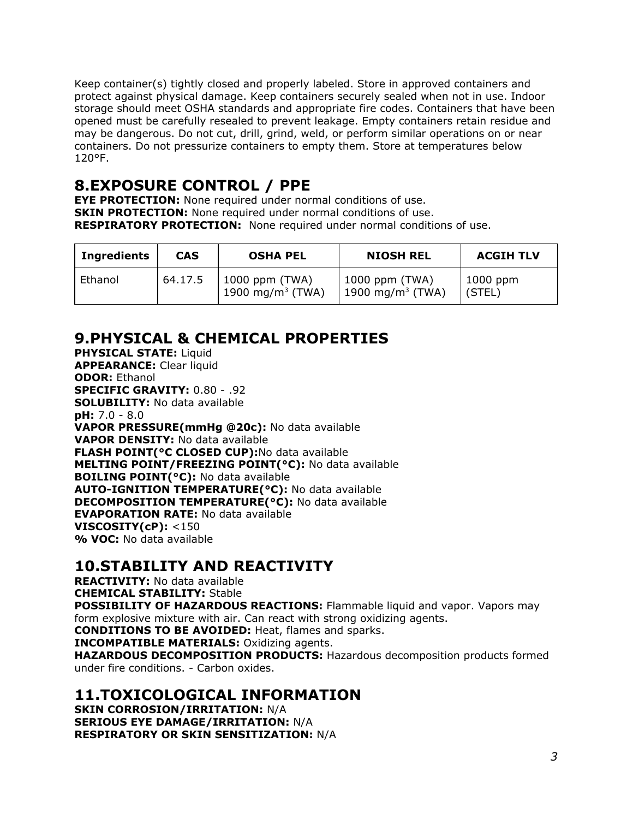Keep container(s) tightly closed and properly labeled. Store in approved containers and protect against physical damage. Keep containers securely sealed when not in use. Indoor storage should meet OSHA standards and appropriate fire codes. Containers that have been opened must be carefully resealed to prevent leakage. Empty containers retain residue and may be dangerous. Do not cut, drill, grind, weld, or perform similar operations on or near containers. Do not pressurize containers to empty them. Store at temperatures below 120°F.

### **8.EXPOSURE CONTROL / PPE**

**EYE PROTECTION:** None required under normal conditions of use. **SKIN PROTECTION:** None required under normal conditions of use. **RESPIRATORY PROTECTION:** None required under normal conditions of use.

| <b>Ingredients</b> | <b>CAS</b> | <b>OSHA PEL</b>                                | <b>NIOSH REL</b>                                 | <b>ACGIH TLV</b>     |
|--------------------|------------|------------------------------------------------|--------------------------------------------------|----------------------|
| Ethanol            | 64.17.5    | 1000 ppm (TWA)<br>1900 mg/m <sup>3</sup> (TWA) | 1000 ppm (TWA)<br>  1900 mg/m <sup>3</sup> (TWA) | $1000$ ppm<br>(STEL) |

### **9.PHYSICAL & CHEMICAL PROPERTIES**

**PHYSICAL STATE:** Liquid **APPEARANCE:** Clear liquid **ODOR:** Ethanol **SPECIFIC GRAVITY:** 0.80 - .92 **SOLUBILITY:** No data available **pH:** 7.0 - 8.0 **VAPOR PRESSURE(mmHg @20c):** No data available **VAPOR DENSITY:** No data available **FLASH POINT(°C CLOSED CUP):**No data available **MELTING POINT/FREEZING POINT(°C):** No data available **BOILING POINT(°C):** No data available **AUTO-IGNITION TEMPERATURE(°C):** No data available **DECOMPOSITION TEMPERATURE(°C):** No data available **EVAPORATION RATE:** No data available **VISCOSITY(cP):** <150 **% VOC:** No data available

### **10.STABILITY AND REACTIVITY**

**REACTIVITY:** No data available **CHEMICAL STABILITY:** Stable

**POSSIBILITY OF HAZARDOUS REACTIONS:** Flammable liquid and vapor. Vapors may form explosive mixture with air. Can react with strong oxidizing agents.

**CONDITIONS TO BE AVOIDED:** Heat, flames and sparks.

**INCOMPATIBLE MATERIALS:** Oxidizing agents.

**HAZARDOUS DECOMPOSITION PRODUCTS:** Hazardous decomposition products formed under fire conditions. - Carbon oxides.

### **11.TOXICOLOGICAL INFORMATION**

**SKIN CORROSION/IRRITATION:** N/A **SERIOUS EYE DAMAGE/IRRITATION:** N/A **RESPIRATORY OR SKIN SENSITIZATION:** N/A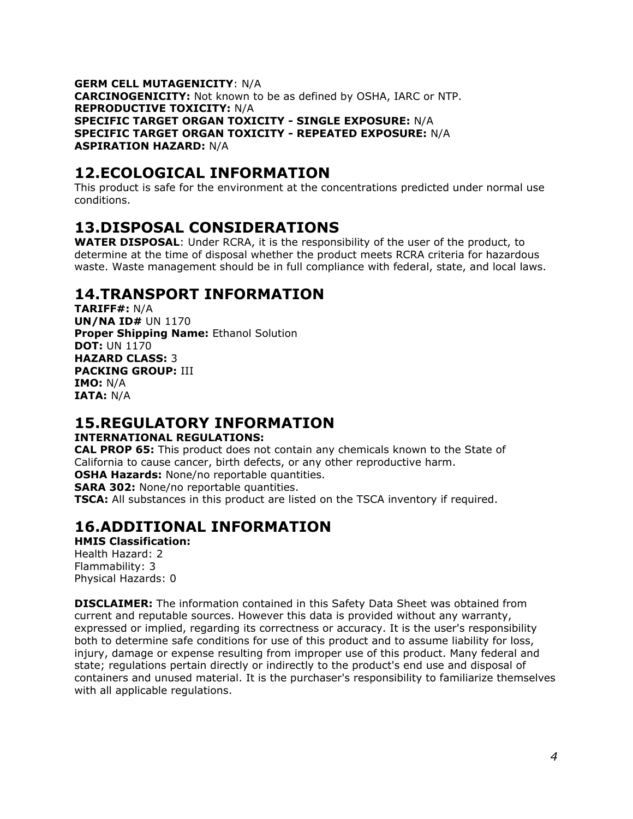**GERM CELL MUTAGENICITY**: N/A **CARCINOGENICITY:** Not known to be as defined by OSHA, IARC or NTP. **REPRODUCTIVE TOXICITY:** N/A **SPECIFIC TARGET ORGAN TOXICITY - SINGLE EXPOSURE:** N/A **SPECIFIC TARGET ORGAN TOXICITY - REPEATED EXPOSURE:** N/A **ASPIRATION HAZARD:** N/A

### **12.ECOLOGICAL INFORMATION**

This product is safe for the environment at the concentrations predicted under normal use conditions.

## **13.DISPOSAL CONSIDERATIONS**

**WATER DISPOSAL**: Under RCRA, it is the responsibility of the user of the product, to determine at the time of disposal whether the product meets RCRA criteria for hazardous waste. Waste management should be in full compliance with federal, state, and local laws.

### **14.TRANSPORT INFORMATION**

**TARIFF#:** N/A **UN/NA ID#** UN 1170 **Proper Shipping Name:** Ethanol Solution **DOT:** UN 1170 **HAZARD CLASS:** 3 **PACKING GROUP:** III **IMO:** N/A **IATA:** N/A

### **15.REGULATORY INFORMATION**

#### **INTERNATIONAL REGULATIONS:**

**CAL PROP 65:** This product does not contain any chemicals known to the State of California to cause cancer, birth defects, or any other reproductive harm. **OSHA Hazards:** None/no reportable quantities.

**SARA 302:** None/no reportable quantities.

**TSCA:** All substances in this product are listed on the TSCA inventory if required.

### **16.ADDITIONAL INFORMATION**

**HMIS Classification:** Health Hazard: 2 Flammability: 3 Physical Hazards: 0

**DISCLAIMER:** The information contained in this Safety Data Sheet was obtained from current and reputable sources. However this data is provided without any warranty, expressed or implied, regarding its correctness or accuracy. It is the user's responsibility both to determine safe conditions for use of this product and to assume liability for loss, injury, damage or expense resulting from improper use of this product. Many federal and state; regulations pertain directly or indirectly to the product's end use and disposal of containers and unused material. It is the purchaser's responsibility to familiarize themselves with all applicable regulations.